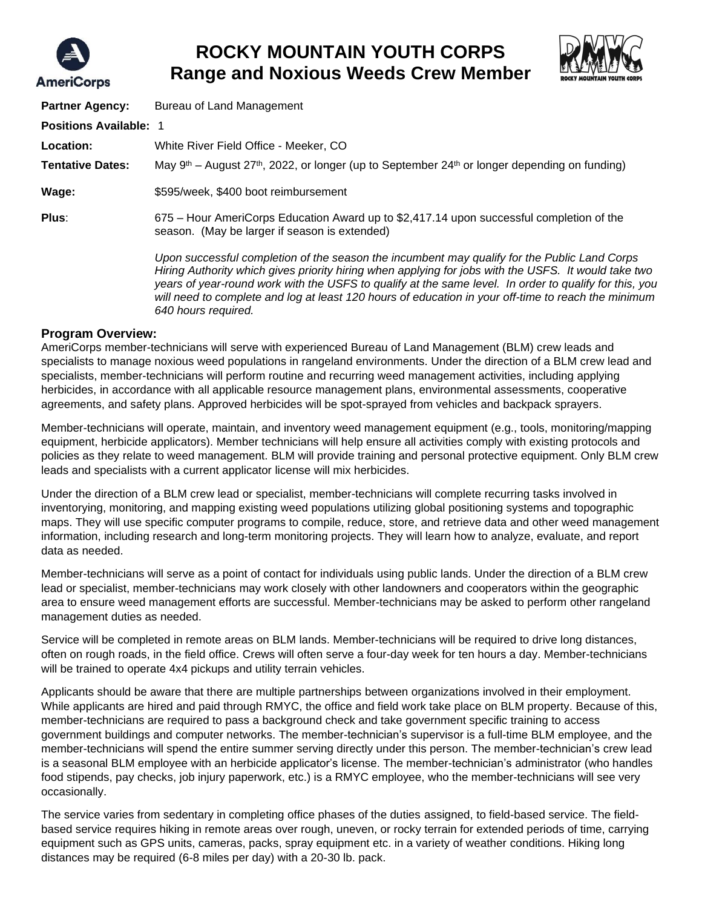

## **ROCKY MOUNTAIN YOUTH CORPS Range and Noxious Weeds Crew Member**



| <b>Partner Agency:</b>        | Bureau of Land Management                                                                                                                                                                                                                                                                                                                                                                                             |
|-------------------------------|-----------------------------------------------------------------------------------------------------------------------------------------------------------------------------------------------------------------------------------------------------------------------------------------------------------------------------------------------------------------------------------------------------------------------|
| <b>Positions Available: 1</b> |                                                                                                                                                                                                                                                                                                                                                                                                                       |
| Location:                     | White River Field Office - Meeker, CO                                                                                                                                                                                                                                                                                                                                                                                 |
| <b>Tentative Dates:</b>       | May $9th$ – August 27 <sup>th</sup> , 2022, or longer (up to September 24 <sup>th</sup> or longer depending on funding)                                                                                                                                                                                                                                                                                               |
| Wage:                         | \$595/week, \$400 boot reimbursement                                                                                                                                                                                                                                                                                                                                                                                  |
| Plus:                         | 675 – Hour AmeriCorps Education Award up to \$2,417.14 upon successful completion of the<br>season. (May be larger if season is extended)                                                                                                                                                                                                                                                                             |
|                               | Upon successful completion of the season the incumbent may qualify for the Public Land Corps<br>Hiring Authority which gives priority hiring when applying for jobs with the USFS. It would take two<br>years of year-round work with the USFS to qualify at the same level. In order to qualify for this, you<br>will need to complete and log at least 120 hours of education in your off-time to reach the minimum |

## **Program Overview:**

*640 hours required.*

AmeriCorps member-technicians will serve with experienced Bureau of Land Management (BLM) crew leads and specialists to manage noxious weed populations in rangeland environments. Under the direction of a BLM crew lead and specialists, member-technicians will perform routine and recurring weed management activities, including applying herbicides, in accordance with all applicable resource management plans, environmental assessments, cooperative agreements, and safety plans. Approved herbicides will be spot-sprayed from vehicles and backpack sprayers.

Member-technicians will operate, maintain, and inventory weed management equipment (e.g., tools, monitoring/mapping equipment, herbicide applicators). Member technicians will help ensure all activities comply with existing protocols and policies as they relate to weed management. BLM will provide training and personal protective equipment. Only BLM crew leads and specialists with a current applicator license will mix herbicides.

Under the direction of a BLM crew lead or specialist, member-technicians will complete recurring tasks involved in inventorying, monitoring, and mapping existing weed populations utilizing global positioning systems and topographic maps. They will use specific computer programs to compile, reduce, store, and retrieve data and other weed management information, including research and long-term monitoring projects. They will learn how to analyze, evaluate, and report data as needed.

Member-technicians will serve as a point of contact for individuals using public lands. Under the direction of a BLM crew lead or specialist, member-technicians may work closely with other landowners and cooperators within the geographic area to ensure weed management efforts are successful. Member-technicians may be asked to perform other rangeland management duties as needed.

Service will be completed in remote areas on BLM lands. Member-technicians will be required to drive long distances, often on rough roads, in the field office. Crews will often serve a four-day week for ten hours a day. Member-technicians will be trained to operate 4x4 pickups and utility terrain vehicles.

Applicants should be aware that there are multiple partnerships between organizations involved in their employment. While applicants are hired and paid through RMYC, the office and field work take place on BLM property. Because of this, member-technicians are required to pass a background check and take government specific training to access government buildings and computer networks. The member-technician's supervisor is a full-time BLM employee, and the member-technicians will spend the entire summer serving directly under this person. The member-technician's crew lead is a seasonal BLM employee with an herbicide applicator's license. The member-technician's administrator (who handles food stipends, pay checks, job injury paperwork, etc.) is a RMYC employee, who the member-technicians will see very occasionally.

The service varies from sedentary in completing office phases of the duties assigned, to field-based service. The fieldbased service requires hiking in remote areas over rough, uneven, or rocky terrain for extended periods of time, carrying equipment such as GPS units, cameras, packs, spray equipment etc. in a variety of weather conditions. Hiking long distances may be required (6-8 miles per day) with a 20-30 lb. pack.